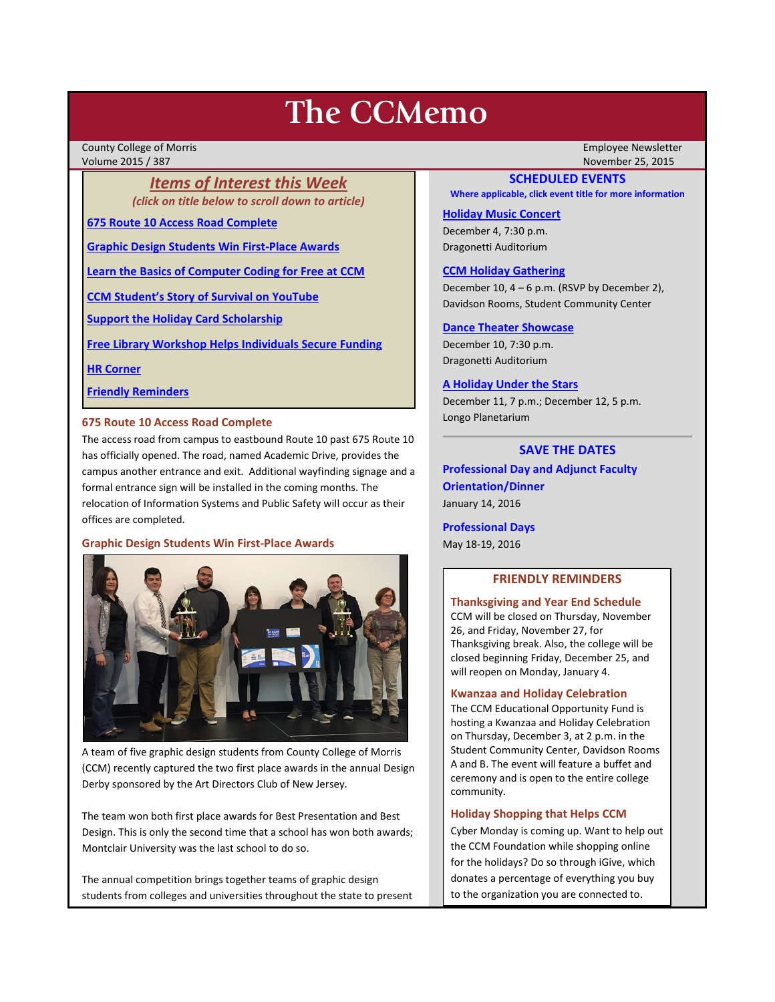# **The CCMemo**

County College of Morris Employee Newsletter Volume 2015 / 387 November 25, 2015

*Items of Interest this Week (click on title below to scroll down to article)*

**[675 Route 10 Access Road Complete](#page-0-0)**

**[Graphic Design Students Win First-Place Awards](#page-0-1)**

**[Learn the Basics of Computer Coding for Free at CCM](#page-1-0)**

**[CCM Student's Story of Survival on YouTube](#page-1-1)**

**[Support the Holiday Card Scholarship](#page-1-2)**

**[Free Library Workshop Helps Individuals Secure Funding](#page-2-0)**

**[HR Corner](#page-2-1)**

**[Friendly Reminders](#page-0-2)**

## <span id="page-0-0"></span>**675 Route 10 Access Road Complete**

The access road from campus to eastbound Route 10 past 675 Route 10 has officially opened. The road, named Academic Drive, provides the campus another entrance and exit. Additional wayfinding signage and a formal entrance sign will be installed in the coming months. The relocation of Information Systems and Public Safety will occur as their offices are completed.

## <span id="page-0-1"></span>**Graphic Design Students Win First-Place Awards**



A team of five graphic design students from County College of Morris (CCM) recently captured the two first place awards in the annual Design Derby sponsored by the Art Directors Club of New Jersey.

The team won both first place awards for Best Presentation and Best Design. This is only the second time that a school has won both awards; Montclair University was the last school to do so.

The annual competition brings together teams of graphic design students from colleges and universities throughout the state to present

## **SCHEDULED EVENTS**

**Where applicable, click event title for more information**

### **[Holiday Music Concert](http://www.ccm.edu/newsEvents/eventDetails.aspx?Channel=/Channels/Sitewide&WorkflowItemID=02c46595-9701-4af4-8db9-674663ebc3e0)**

December 4, 7:30 p.m. Dragonetti Auditorium

## **[CCM Holiday Gathering](http://www3.ccm.edu/ccmemo/images/holiday_gathering_2015.pdf)**

December 10, 4 – 6 p.m. (RSVP by December 2), Davidson Rooms, Student Community Center

## **[Dance Theater Showcase](http://www.ccm.edu/newsEvents/eventDetails.aspx?Channel=/Channels/Sitewide&WorkflowItemID=5d8168d5-ba9f-4e18-85a7-0da01b6a67f1)**

December 10, 7:30 p.m. Dragonetti Auditorium

## **[A Holiday Under the Stars](http://www.ccm.edu/newsEvents/eventDetails.aspx?Channel=/Channels/Sitewide&WorkflowItemID=33f45ee9-5e7c-4835-b2d6-c900facd707d)**

December 11, 7 p.m.; December 12, 5 p.m. Longo Planetarium

## **SAVE THE DATES**

**Professional Day and Adjunct Faculty Orientation/Dinner** January 14, 2016

**Professional Days**

May 18-19, 2016

## **FRIENDLY REMINDERS**

<span id="page-0-2"></span>**Thanksgiving and Year End Schedule** CCM will be closed on Thursday, November 26, and Friday, November 27, for Thanksgiving break. Also, the college will be closed beginning Friday, December 25, and will reopen on Monday, January 4.

## **Kwanzaa and Holiday Celebration**

The CCM Educational Opportunity Fund is hosting a Kwanzaa and Holiday Celebration on Thursday, December 3, at 2 p.m. in the Student Community Center, Davidson Rooms A and B. The event will feature a buffet and ceremony and is open to the entire college community.

## **Holiday Shopping that Helps CCM**

Cyber Monday is coming up. Want to help out the CCM Foundation while shopping online for the holidays? Do so through iGive, which donates a percentage of everything you buy to the organization you are connected to.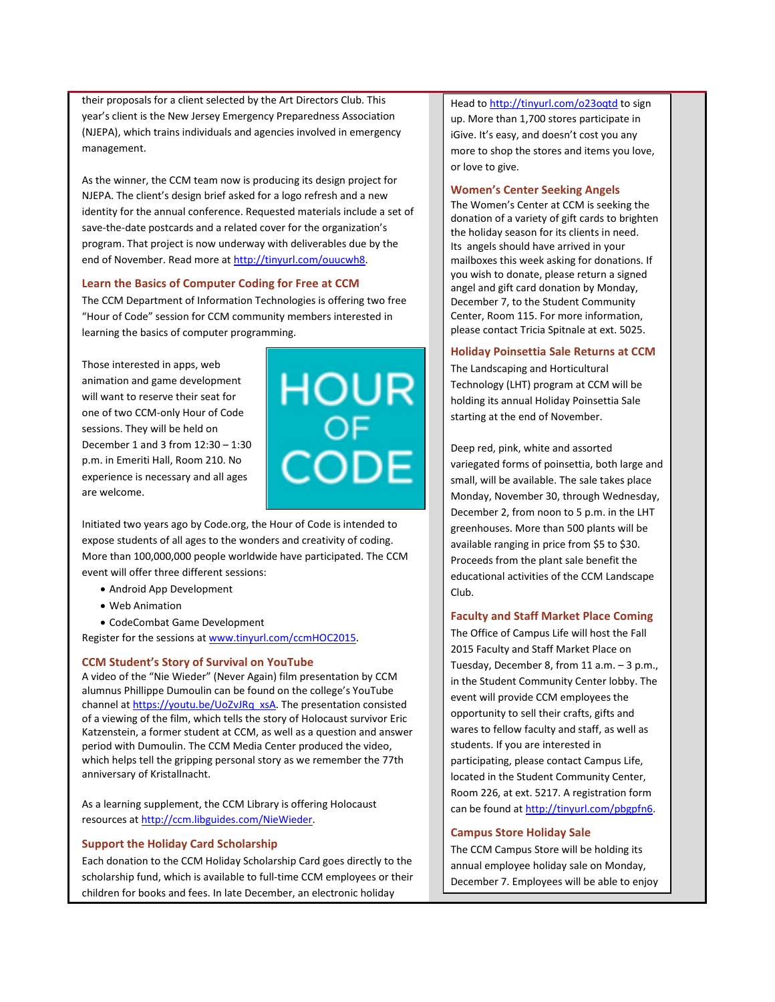their proposals for a client selected by the Art Directors Club. This year's client is the New Jersey Emergency Preparedness Association (NJEPA), which trains individuals and agencies involved in emergency management.

As the winner, the CCM team now is producing its design project for NJEPA. The client's design brief asked for a logo refresh and a new identity for the annual conference. Requested materials include a set of save-the-date postcards and a related cover for the organization's program. That project is now underway with deliverables due by the end of November. Read more a[t http://tinyurl.com/ouucwh8.](http://tinyurl.com/ouucwh8)

#### <span id="page-1-0"></span>**Learn the Basics of Computer Coding for Free at CCM**

The CCM Department of Information Technologies is offering two free "Hour of Code" session for CCM community members interested in learning the basics of computer programming.

Those interested in apps, web animation and game development will want to reserve their seat for one of two CCM-only Hour of Code sessions. They will be held on December 1 and 3 from 12:30 – 1:30 p.m. in Emeriti Hall, Room 210. No experience is necessary and all ages are welcome.



Initiated two years ago by Code.org, the Hour of Code is intended to expose students of all ages to the wonders and creativity of coding. More than 100,000,000 people worldwide have participated. The CCM event will offer three different sessions:

- Android App Development
- Web Animation
- CodeCombat Game Development

Register for the sessions a[t www.tinyurl.com/ccmHOC2015.](http://www.tinyurl.com/ccmHOC2015) 

## <span id="page-1-1"></span>**CCM Student's Story of Survival on YouTube**

A video of the "Nie Wieder" (Never Again) film presentation by CCM alumnus Phillippe Dumoulin can be found on the college's YouTube channel at [https://youtu.be/UoZvJRq\\_xsA.](https://youtu.be/UoZvJRq_xsA) The presentation consisted of a viewing of the film, which tells the story of Holocaust survivor Eric Katzenstein, a former student at CCM, as well as a question and answer period with Dumoulin. The CCM Media Center produced the video, which helps tell the gripping personal story as we remember the 77th anniversary of Kristallnacht.

As a learning supplement, the CCM Library is offering Holocaust resources a[t http://ccm.libguides.com/NieWieder.](http://ccm.libguides.com/NieWieder)

#### <span id="page-1-2"></span>**Support the Holiday Card Scholarship**

Each donation to the CCM Holiday Scholarship Card goes directly to the scholarship fund, which is available to full-time CCM employees or their children for books and fees. In late December, an electronic holiday

Head t[o http://tinyurl.com/o23oqtd](http://tinyurl.com/o23oqtd) to sign up. More than 1,700 stores participate in iGive. It's easy, and doesn't cost you any more to shop the stores and items you love, or love to give.

#### **Women's Center Seeking Angels**

The Women's Center at CCM is seeking the donation of a variety of gift cards to brighten the holiday season for its clients in need. Its angels should have arrived in your mailboxes this week asking for donations. If you wish to donate, please return a signed angel and gift card donation by Monday, December 7, to the Student Community Center, Room 115. For more information, please contact Tricia Spitnale at ext. 5025.

#### **Holiday Poinsettia Sale Returns at CCM**

The Landscaping and Horticultural Technology (LHT) program at CCM will be holding its annual Holiday Poinsettia Sale starting at the end of November.

Deep red, pink, white and assorted variegated forms of poinsettia, both large and small, will be available. The sale takes place Monday, November 30, through Wednesday, December 2, from noon to 5 p.m. in the LHT greenhouses. More than 500 plants will be available ranging in price from \$5 to \$30. Proceeds from the plant sale benefit the educational activities of the CCM Landscape Club.

## **Faculty and Staff Market Place Coming**

The Office of Campus Life will host the Fall 2015 Faculty and Staff Market Place on Tuesday, December 8, from 11 a.m. – 3 p.m., in the Student Community Center lobby. The event will provide CCM employees the opportunity to sell their crafts, gifts and wares to fellow faculty and staff, as well as students. If you are interested in participating, please contact Campus Life, located in the Student Community Center, Room 226, at ext. 5217. A registration form can be found a[t http://tinyurl.com/pbgpfn6.](http://tinyurl.com/pbgpfn6)

## **Campus Store Holiday Sale**

The CCM Campus Store will be holding its annual employee holiday sale on Monday, December 7. Employees will be able to enjoy